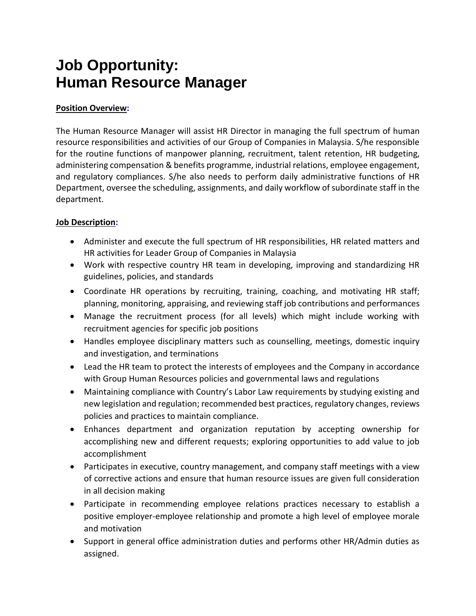## **Job Opportunity: Human Resource Manager**

## **Position Overview:**

The Human Resource Manager will assist HR Director in managing the full spectrum of human resource responsibilities and activities of our Group of Companies in Malaysia. S/he responsible for the routine functions of manpower planning, recruitment, talent retention, HR budgeting, administering compensation & benefits programme, industrial relations, employee engagement, and regulatory compliances. S/he also needs to perform daily administrative functions of HR Department, oversee the scheduling, assignments, and daily workflow of subordinate staff in the department.

## **Job Description:**

- Administer and execute the full spectrum of HR responsibilities, HR related matters and HR activities for Leader Group of Companies in Malaysia
- Work with respective country HR team in developing, improving and standardizing HR guidelines, policies, and standards
- Coordinate HR operations by recruiting, training, coaching, and motivating HR staff; planning, monitoring, appraising, and reviewing staff job contributions and performances
- Manage the recruitment process (for all levels) which might include working with recruitment agencies for specific job positions
- Handles employee disciplinary matters such as counselling, meetings, domestic inquiry and investigation, and terminations
- Lead the HR team to protect the interests of employees and the Company in accordance with Group Human Resources policies and governmental laws and regulations
- Maintaining compliance with Country's Labor Law requirements by studying existing and new legislation and regulation; recommended best practices, regulatory changes, reviews policies and practices to maintain compliance.
- Enhances department and organization reputation by accepting ownership for accomplishing new and different requests; exploring opportunities to add value to job accomplishment
- Participates in executive, country management, and company staff meetings with a view of corrective actions and ensure that human resource issues are given full consideration in all decision making
- Participate in recommending employee relations practices necessary to establish a positive employer-employee relationship and promote a high level of employee morale and motivation
- Support in general office administration duties and performs other HR/Admin duties as assigned.